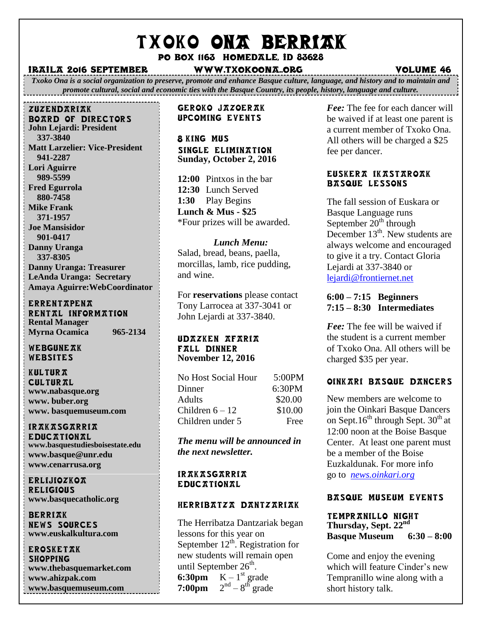# TXOKO ONA BERRIAK

Po box 1163 homedale, id 83628

#### iraila 2016 september www.txokoona..org volume 46

*Txoko Ona is a social organization to preserve, promote and enhance Basque culture, language, and history and to maintain and promote cultural, social and economic ties with the Basque Country, its people, history, language and culture.*

#### zuzendariak

j.

board of directors **John Lejardi: President 337-3840 Matt Larzelier: Vice-President 941-2287 Lori Aguirre 989-5599 Fred Egurrola 880-7458 Mike Frank 371-1957 Joe Mansisidor 901-0417 Danny Uranga 337-8305 Danny Uranga: Treasurer LeAnda Uranga: Secretary Amaya Aguirre:WebCoordinator**

#### **ERRENTAPENA** RENTAL INFORMATION

**Rental Manager Myrna Ocamica 965-2134**

WEBGUNEAK **WEBSITES** 

KULTUR**T CULTURAL www.nabasque.org www. buber.org www. basquemuseum.com** 

#### irakasgarria

EDUC ATIONAL **www.basquestudiesboisestate.edu www.basque@unr.edu www.cenarrusa.org**

erlijiozkoa **RELIGIOUS www.basquecatholic.org**

**BERRIAK** news sources **www.euskalkultura.com**

erosketak **SHOPPING www.thebasquemarket.com www.ahizpak.com www.basquemuseum.com** 

#### Geroko Jazoerak Upcoming events

8 king MUS SINGLE ELIMINATION **Sunday, October 2, 2016**

**12:00** Pintxos in the bar **12:30** Lunch Served **1:30** Play Begins **Lunch & Mus - \$25** \*Four prizes will be awarded.

### *Lunch Menu:*

Salad, bread, beans, paella, morcillas, lamb, rice pudding, and wine.

For **reservations** please contact Tony Larrocea at 337-3041 or John Lejardi at 337-3840.

#### Udazken Afaria Fall dinner **November 12, 2016**

| No Host Social Hour | 5:00PM  |
|---------------------|---------|
| Dinner              | 6:30PM  |
| <b>Adults</b>       | \$20.00 |
| Children $6-12$     | \$10.00 |
| Children under 5    | Free    |

*The menu will be announced in the next newsletter.*

#### Irakasgarria **EDUCATIONAL**

#### herribatza dantzariak

The Herribatza Dantzariak began lessons for this year on September  $12^{\text{th}}$ . Registration for new students will remain open until September 26<sup>th</sup>. **6:30pm**  $K - 1<sup>st</sup>$  grade

**7:00pm**  $2^{nd} - 8^{th}$  grade

*Fee:* The fee for each dancer will be waived if at least one parent is a current member of Txoko Ona. All others will be charged a \$25 fee per dancer.

#### Euskera Ikastaroak BASQUE LESSONS

The fall session of Euskara or Basque Language runs September  $20<sup>th</sup>$  through December 13<sup>th</sup>. New students are always welcome and encouraged to give it a try. Contact Gloria Lejardi at 337-3840 or [lejardi@frontiernet.net](mailto:lejardi@frontiernet.net)

#### **6:00 – 7:15 Beginners 7:15 – 8:30 Intermediates**

*Fee:* The fee will be waived if the student is a current member of Txoko Ona. All others will be charged \$35 per year.

#### Oinkari Basque Dancers

New members are welcome to join the Oinkari Basque Dancers on Sept.16<sup>th</sup> through Sept.  $30<sup>th</sup>$  at 12:00 noon at the Boise Basque Center. At least one parent must be a member of the Boise Euzkaldunak. For more info go to *[news.oinkari.org](mailto:info@oinkari.org)*

#### Basque Museum Events

#### tempranillo night **Thursday, Sept. 22<sup>n</sup> Basque Museum 6:30 – 8:00**

Come and enjoy the evening which will feature Cinder's new Tempranillo wine along with a short history talk.